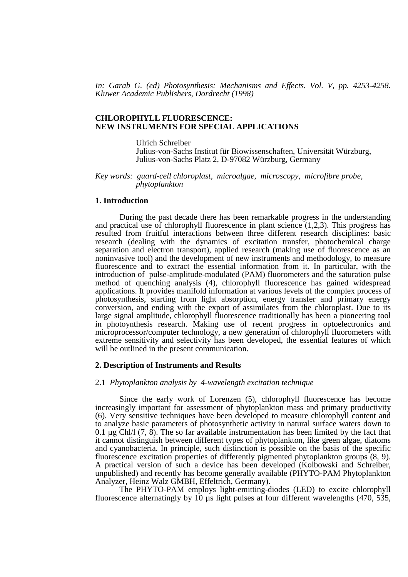*In: Garab G. (ed) Photosynthesis: Mechanisms and Effects. Vol. V, pp. 4253-4258. Kluwer Academic Publishers, Dordrecht (1998)*

#### **CHLOROPHYLL FLUORESCENCE: NEW INSTRUMENTS FOR SPECIAL APPLICATIONS**

Ulrich Schreiber Julius-von-Sachs Institut für Biowissenschaften, Universität Würzburg, Julius-von-Sachs Platz 2, D-97082 Würzburg, Germany

### *Key words: guard-cell chloroplast, microalgae, microscopy, microfibre probe, phytoplankton*

## **1. Introduction**

During the past decade there has been remarkable progress in the understanding and practical use of chlorophyll fluorescence in plant science  $(1,2,3)$ . This progress has resulted from fruitful interactions between three different research disciplines: basic research (dealing with the dynamics of excitation transfer, photochemical charge separation and electron transport), applied research (making use of fluorescence as an noninvasive tool) and the development of new instruments and methodology, to measure fluorescence and to extract the essential information from it. In particular, with the introduction of pulse-amplitude-modulated (PAM) fluorometers and the saturation pulse method of quenching analysis (4), chlorophyll fluorescence has gained widespread applications. It provides manifold information at various levels of the complex process of photosynthesis, starting from light absorption, energy transfer and primary energy conversion, and ending with the export of assimilates from the chloroplast. Due to its large signal amplitude, chlorophyll fluorescence traditionally has been a pioneering tool in photoynthesis research. Making use of recent progress in optoelectronics and microprocessor/computer technology, a new generation of chlorophyll fluorometers with extreme sensitivity and selectivity has been developed, the essential features of which will be outlined in the present communication.

#### **2. Description of Instruments and Results**

#### 2.1 *Phytoplankton analysis by 4-wavelength excitation technique*

Since the early work of Lorenzen (5), chlorophyll fluorescence has become increasingly important for assessment of phytoplankton mass and primary productivity (6). Very sensitive techniques have been developed to measure chlorophyll content and to analyze basic parameters of photosynthetic activity in natural surface waters down to 0.1  $\mu$ g Chl/l (7, 8). The so far available instrumentation has been limited by the fact that it cannot distinguish between different types of phytoplankton, like green algae, diatoms and cyanobacteria. In principle, such distinction is possible on the basis of the specific fluorescence excitation properties of differently pigmented phytoplankton groups (8, 9). A practical version of such a device has been developed (Kolbowski and Schreiber, unpublished) and recently has become generally available (PHYTO-PAM Phytoplankton Analyzer, Heinz Walz GMBH, Effeltrich, Germany).

The PHYTO-PAM employs light-emitting-diodes (LED) to excite chlorophyll fluorescence alternatingly by  $10 \mu s$  light pulses at four different wavelengths (470, 535,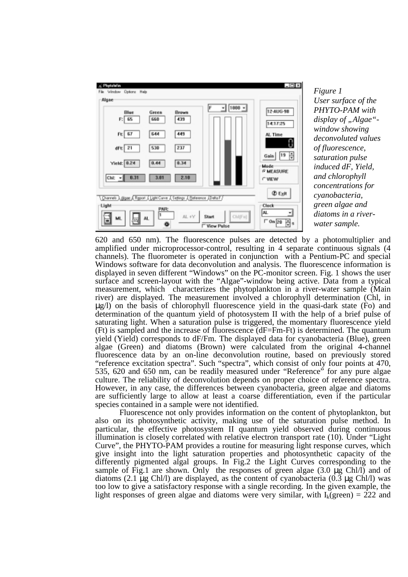

*Figure 1 User surface of the PHYTO-PAM with* display of "Algae"*window showing deconvoluted values of fluorescence, saturation pulse induced dF, Yield, and chlorophyll concentrations for cyanobacteria, green algae and diatoms in a riverwater sample.*

620 and 650 nm). The fluorescence pulses are detected by a photomultiplier and amplified under microprocessor-control, resulting in 4 separate continuous signals (4 channels). The fluorometer is operated in conjunction with a Pentium-PC and special Windows software for data deconvolution and analysis. The fluorescence information is displayed in seven different "Windows" on the PC-monitor screen. Fig. 1 shows the user surface and screen-layout with the "Algae"-window being active. Data from a typical measurement, which characterizes the phytoplankton in a river-water sample (Main river) are displayed. The measurement involved a chlorophyll determination (Chl, in µg/l) on the basis of chlorophyll fluorescence yield in the quasi-dark state (Fo) and determination of the quantum yield of photosystem II with the help of a brief pulse of saturating light. When a saturation pulse is triggered, the momentary fluorescence yield (Ft) is sampled and the increase of fluorescence (dF=Fm-Ft) is determined. The quantum yield (Yield) corresponds to dF/Fm. The displayed data for cyanobacteria (Blue), green algae (Green) and diatoms (Brown) were calculated from the original 4-channel fluorescence data by an on-line deconvolution routine, based on previously stored "reference excitation spectra". Such "spectra", which consist of only four points at 470, 535, 620 and 650 nm, can be readily measured under "Reference" for any pure algae culture. The reliability of deconvolution depends on proper choice of reference spectra. However, in any case, the differences between cyanobacteria, green algae and diatoms are sufficiently large to allow at least a coarse differentiation, even if the particular species contained in a sample were not identified.

Fluorescence not only provides information on the content of phytoplankton, but also on its photosynthetic activity, making use of the saturation pulse method. In particular, the effective photosystem II quantum yield observed during continuous illumination is closely correlated with relative electron transport rate (10). Under "Light Curve", the PHYTO-PAM provides a routine for measuring light response curves, which give insight into the light saturation properties and photosynthetic capacity of the differently pigmented algal groups. In Fig.2 the Light Curves corresponding to the sample of Fig.1 are shown. Only the responses of green algae  $(3.0 \mu g$  Chl/l) and of diatoms (2.1  $\mu$ g Chl/l) are displayed, as the content of cyanobacteria (0.3  $\mu$ g Chl/l) was too low to give a satisfactory response with a single recording. In the given example, the light responses of green algae and diatoms were very similar, with  $I_k$ (green) = 222 and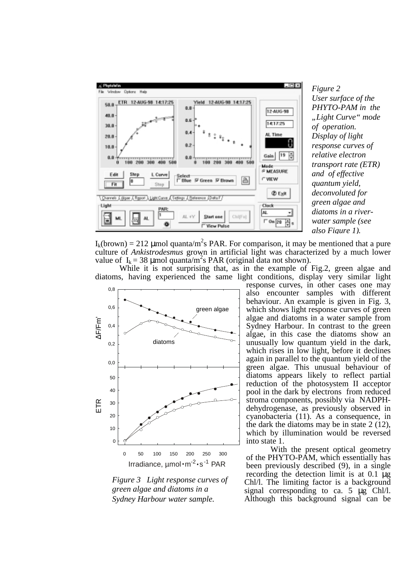

*Figure 2 User surface of the PHYTO-PAM in the "Light Curve" mode of operation. Display of light response curves of relative electron transport rate (ETR) and of effective quantum yield, deconvoluted for green algae and diatoms in a riverwater sample (see also Figure 1).*

 $I_k(brown) = 212 \mu mol$  quanta/m<sup>2</sup>s PAR. For comparison, it may be mentioned that a pure culture of *Ankistrodesmus* grown in artificial light was characterized by a much lower value of  $I_k = 38 \mu$ mol quanta/m<sup>2</sup>s PAR (original data not shown).

While it is not surprising that, as in the example of Fig.2, green algae and diatoms, having experienced the same light conditions, display very similar light



*Figure 3 Light response curves of green algae and diatoms in a Sydney Harbour water sample.*

response curves, in other cases one may also encounter samples with different behaviour. An example is given in Fig. 3, which shows light response curves of green algae and diatoms in a water sample from Sydney Harbour. In contrast to the green algae, in this case the diatoms show an unusually low quantum yield in the dark, which rises in low light, before it declines again in parallel to the quantum yield of the green algae. This unusual behaviour of diatoms appears likely to reflect partial reduction of the photosystem II acceptor pool in the dark by electrons from reduced stroma components, possibly via NADPHdehydrogenase, as previously observed in cyanobacteria (11). As a consequence, in the dark the diatoms may be in state 2 (12), which by illumination would be reversed into state 1.

With the present optical geometry of the PHYTO-PAM, which essentially has been previously described (9), in a single recording the detection limit is at 0.1 µg Chl/l. The limiting factor is a background signal corresponding to ca. 5 µg Chl/l. Although this background signal can be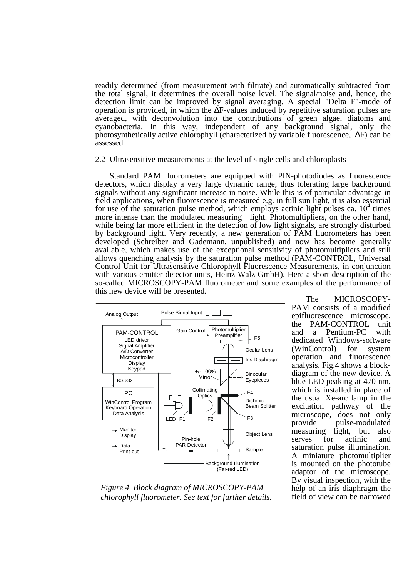readily determined (from measurement with filtrate) and automatically subtracted from the total signal, it determines the overall noise level. The signal/noise and, hence, the detection limit can be improved by signal averaging. A special "Delta F"-mode of operation is provided, in which the ∆F-values induced by repetitive saturation pulses are averaged, with deconvolution into the contributions of green algae, diatoms and cyanobacteria. In this way, independent of any background signal, only the photosynthetically active chlorophyll (characterized by variable fluorescence, ∆F) can be assessed.

2.2 Ultrasensitive measurements at the level of single cells and chloroplasts

Standard PAM fluorometers are equipped with PIN-photodiodes as fluorescence detectors, which display a very large dynamic range, thus tolerating large background signals without any significant increase in noise. While this is of particular advantage in field applications, when fluorescence is measured e.g. in full sun light, it is also essential for use of the saturation pulse method, which employs actinic light pulses ca.  $10<sup>4</sup>$  times more intense than the modulated measuring light. Photomultipliers, on the other hand, while being far more efficient in the detection of low light signals, are strongly disturbed by background light. Very recently, a new generation of PAM fluorometers has been developed (Schreiber and Gademann, unpublished) and now has become generally available, which makes use of the exceptional sensitivity of photomultipliers and still allows quenching analysis by the saturation pulse method (PAM-CONTROL, Universal Control Unit for Ultrasensitive Chlorophyll Fluorescence Measurements, in conjunction with various emitter-detector units, Heinz Walz GmbH). Here a short description of the so-called MICROSCOPY-PAM fluorometer and some examples of the performance of this new device will be presented.



The MICROSCOPY-PAM consists of a modified epifluorescence microscope, the PAM-CONTROL unit and a Pentium-PC with dedicated Windows-software (WinControl) for system operation and fluorescence analysis. Fig.4 shows a blockdiagram of the new device. A blue LED peaking at 470 nm, which is installed in place of the usual Xe-arc lamp in the excitation pathway of the microscope, does not only provide pulse-modulated measuring light, but also serves for actinic and saturation pulse illumination. A miniature photomultiplier is mounted on the phototube adaptor of the microscope. By visual inspection, with the help of an iris diaphragm the field of view can be narrowed

*Figure 4 Block diagram of MICROSCOPY-PAM chlorophyll fluorometer. See text for further details.*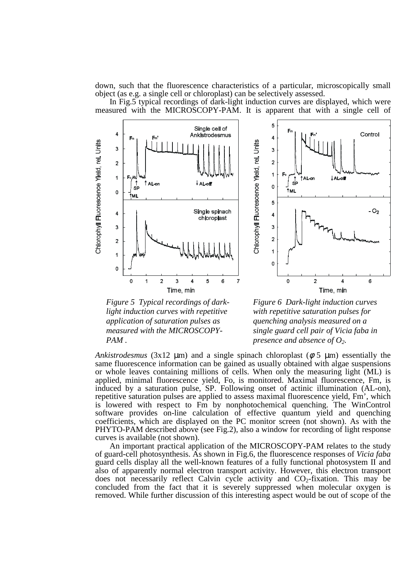down, such that the fluorescence characteristics of a particular, microscopically small object (as e.g. a single cell or chloroplast) can be selectively assessed.

In Fig.5 typical recordings of dark-light induction curves are displayed, which were measured with the MICROSCOPY-PAM. It is apparent that with a single cell of





*Figure 5 Typical recordings of darklight induction curves with repetitive application of saturation pulses as measured with the MICROSCOPY-PAM .*

*Figure 6 Dark-light induction curves with repetitive saturation pulses for quenching analysis measured on a single guard cell pair of Vicia faba in presence and absence of O2.*

*Ankistrodesmus* (3x12  $\mu$ m) and a single spinach chloroplast ( $\phi$  5  $\mu$ m) essentially the same fluorescence information can be gained as usually obtained with algae suspensions or whole leaves containing millions of cells. When only the measuring light (ML) is applied, minimal fluorescence yield, Fo, is monitored. Maximal fluorescence, Fm, is induced by a saturation pulse, SP. Following onset of actinic illumination (AL-on), repetitive saturation pulses are applied to assess maximal fluorescence yield, Fm', which is lowered with respect to Fm by nonphotochemical quenching. The WinControl software provides on-line calculation of effective quantum yield and quenching coefficients, which are displayed on the PC monitor screen (not shown). As with the PHYTO-PAM described above (see Fig.2), also a window for recording of light response curves is available (not shown).

An important practical application of the MICROSCOPY-PAM relates to the study of guard-cell photosynthesis. As shown in Fig.6, the fluorescence responses of *Vicia faba* guard cells display all the well-known features of a fully functional photosystem II and also of apparently normal electron transport activity. However, this electron transport does not necessarily reflect Calvin cycle activity and  $CO<sub>2</sub>$ -fixation. This may be concluded from the fact that it is severely suppressed when molecular oxygen is removed. While further discussion of this interesting aspect would be out of scope of the